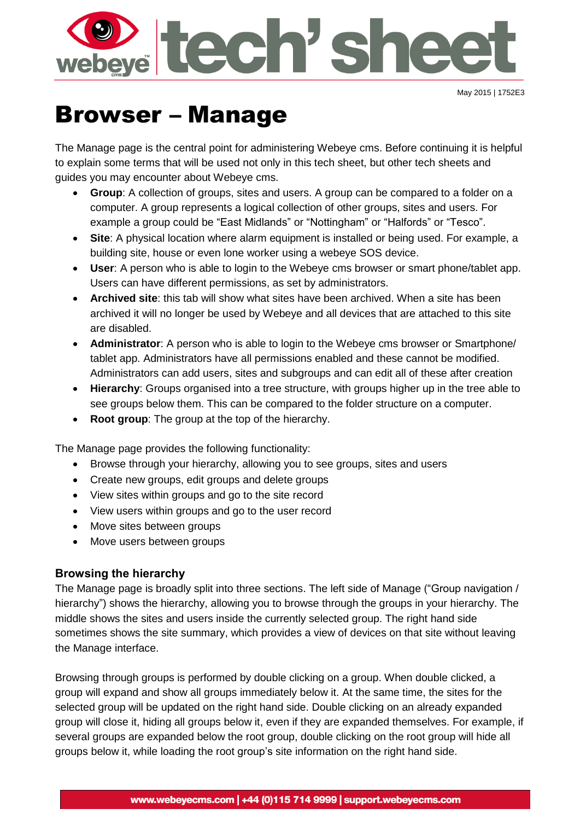

May 2015 | 1752E3

# Browser – Manage

The Manage page is the central point for administering Webeye cms. Before continuing it is helpful to explain some terms that will be used not only in this tech sheet, but other tech sheets and guides you may encounter about Webeye cms.

- **Group**: A collection of groups, sites and users. A group can be compared to a folder on a computer. A group represents a logical collection of other groups, sites and users. For example a group could be "East Midlands" or "Nottingham" or "Halfords" or "Tesco".
- **Site**: A physical location where alarm equipment is installed or being used. For example, a building site, house or even lone worker using a webeye SOS device.
- **User**: A person who is able to login to the Webeye cms browser or smart phone/tablet app. Users can have different permissions, as set by administrators.
- **Archived site**: this tab will show what sites have been archived. When a site has been archived it will no longer be used by Webeye and all devices that are attached to this site are disabled.
- **Administrator**: A person who is able to login to the Webeye cms browser or Smartphone/ tablet app. Administrators have all permissions enabled and these cannot be modified. Administrators can add users, sites and subgroups and can edit all of these after creation
- **Hierarchy**: Groups organised into a tree structure, with groups higher up in the tree able to see groups below them. This can be compared to the folder structure on a computer.
- **Root group**: The group at the top of the hierarchy.

The Manage page provides the following functionality:

- Browse through your hierarchy, allowing you to see groups, sites and users
- Create new groups, edit groups and delete groups
- View sites within groups and go to the site record
- View users within groups and go to the user record
- Move sites between groups
- Move users between groups

## **Browsing the hierarchy**

The Manage page is broadly split into three sections. The left side of Manage ("Group navigation / hierarchy") shows the hierarchy, allowing you to browse through the groups in your hierarchy. The middle shows the sites and users inside the currently selected group. The right hand side sometimes shows the site summary, which provides a view of devices on that site without leaving the Manage interface.

Browsing through groups is performed by double clicking on a group. When double clicked, a group will expand and show all groups immediately below it. At the same time, the sites for the selected group will be updated on the right hand side. Double clicking on an already expanded group will close it, hiding all groups below it, even if they are expanded themselves. For example, if several groups are expanded below the root group, double clicking on the root group will hide all groups below it, while loading the root group's site information on the right hand side.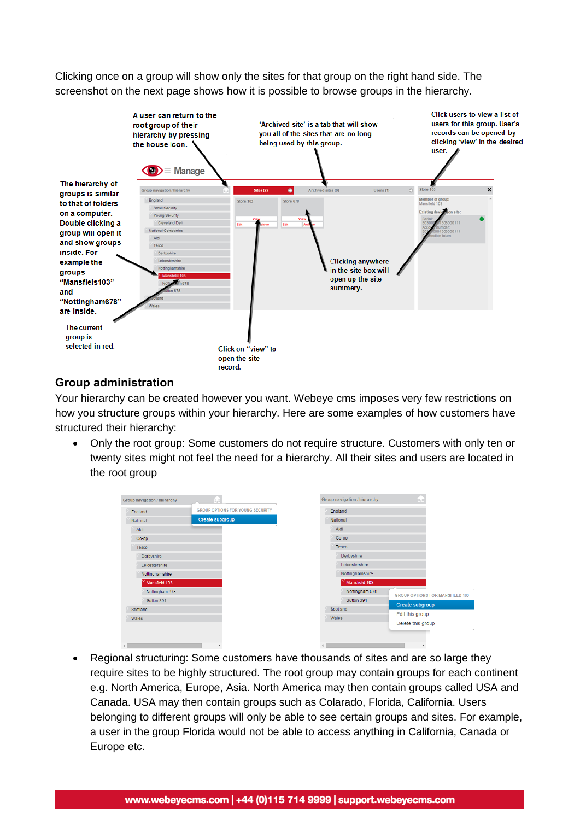Clicking once on a group will show only the sites for that group on the right hand side. The screenshot on the next page shows how it is possible to browse groups in the hierarchy.



## **Group administration**

Your hierarchy can be created however you want. Webeye cms imposes very few restrictions on how you structure groups within your hierarchy. Here are some examples of how customers have structured their hierarchy:

 Only the root group: Some customers do not require structure. Customers with only ten or twenty sites might not feel the need for a hierarchy. All their sites and users are located in the root group

| England         | <b>GROUP OPTIONS FOR YOUNG SECURITY</b> | England        |                                        |  |  |  |  |
|-----------------|-----------------------------------------|----------------|----------------------------------------|--|--|--|--|
| National        | Create subgroup                         | National       |                                        |  |  |  |  |
| Aldi            |                                         | Aldi           |                                        |  |  |  |  |
| $Co$ -op        |                                         | $Co$ -op       |                                        |  |  |  |  |
| Tesco           |                                         | Tesco          |                                        |  |  |  |  |
| Derbyshire      |                                         | Derbyshire     |                                        |  |  |  |  |
| Leicestershire  |                                         | Leicestershire | Nottinghamshire                        |  |  |  |  |
| Nottinghamshire |                                         |                |                                        |  |  |  |  |
| Mansfield 103   |                                         | Mansfield 103  |                                        |  |  |  |  |
| Nottingham 678  |                                         | Nottingham 678 | <b>GROUP OPTIONS FOR MANSFIELD 103</b> |  |  |  |  |
| Sutton 391      |                                         | Sutton 391     | Create subgroup                        |  |  |  |  |
| Scotland        |                                         | Scotland       | Edit this group                        |  |  |  |  |
| Wales           |                                         | Wales          | Delete this group                      |  |  |  |  |

 Regional structuring: Some customers have thousands of sites and are so large they require sites to be highly structured. The root group may contain groups for each continent e.g. North America, Europe, Asia. North America may then contain groups called USA and Canada. USA may then contain groups such as Colarado, Florida, California. Users belonging to different groups will only be able to see certain groups and sites. For example, a user in the group Florida would not be able to access anything in California, Canada or Europe etc.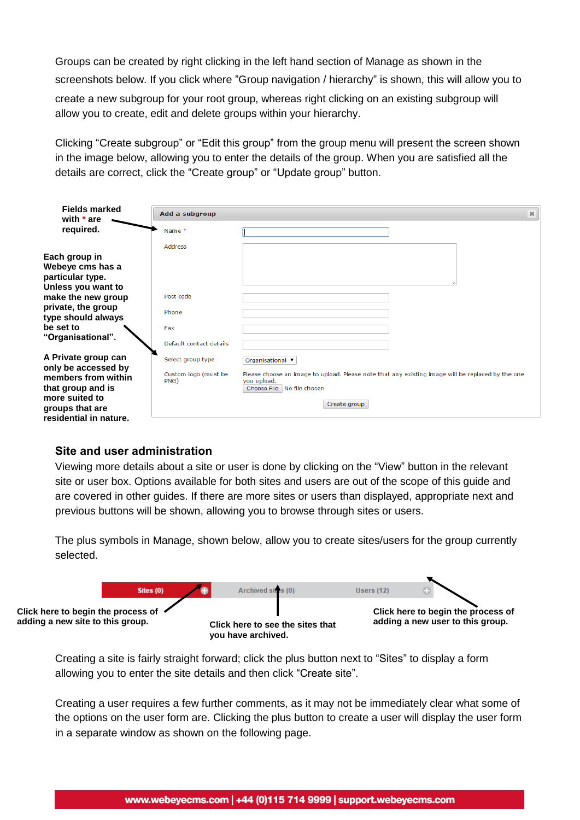Groups can be created by right clicking in the left hand section of Manage as shown in the screenshots below. If you click where "Group navigation / hierarchy" is shown, this will allow you to create a new subgroup for your root group, whereas right clicking on an existing subgroup will allow you to create, edit and delete groups within your hierarchy.

Clicking "Create subgroup" or "Edit this group" from the group menu will present the screen shown in the image below, allowing you to enter the details of the group. When you are satisfied all the details are correct, click the "Create group" or "Update group" button.

| <b>Fields marked</b><br>with $*$ are                                                                                           | Add a subgroup               | 36                                                                                                                                                               |
|--------------------------------------------------------------------------------------------------------------------------------|------------------------------|------------------------------------------------------------------------------------------------------------------------------------------------------------------|
| required.                                                                                                                      | Name*                        |                                                                                                                                                                  |
|                                                                                                                                | <b>Address</b>               |                                                                                                                                                                  |
| Each group in<br>Webeye cms has a<br>particular type.                                                                          |                              |                                                                                                                                                                  |
| Unless you want to                                                                                                             | Post code                    |                                                                                                                                                                  |
| make the new group<br>private, the group<br>type should always                                                                 | Phone                        |                                                                                                                                                                  |
| be set to<br>"Organisational".                                                                                                 | Fax                          |                                                                                                                                                                  |
|                                                                                                                                | Default contact details      |                                                                                                                                                                  |
| A Private group can                                                                                                            | Select group type            | Organisational ▼                                                                                                                                                 |
| only be accessed by<br>members from within<br>that group and is<br>more suited to<br>groups that are<br>residential in nature. | Custom logo (must be<br>PNG) | Please choose an image to upload. Please note that any existing image will be replaced by the one<br>you upload.<br>Choose File   No file chosen<br>Create group |

### **Site and user administration**

Viewing more details about a site or user is done by clicking on the "View" button in the relevant site or user box. Options available for both sites and users are out of the scope of this guide and are covered in other guides. If there are more sites or users than displayed, appropriate next and previous buttons will be shown, allowing you to browse through sites or users.

The plus symbols in Manage, shown below, allow you to create sites/users for the group currently selected.



Creating a site is fairly straight forward; click the plus button next to "Sites" to display a form allowing you to enter the site details and then click "Create site".

Creating a user requires a few further comments, as it may not be immediately clear what some of the options on the user form are. Clicking the plus button to create a user will display the user form in a separate window as shown on the following page.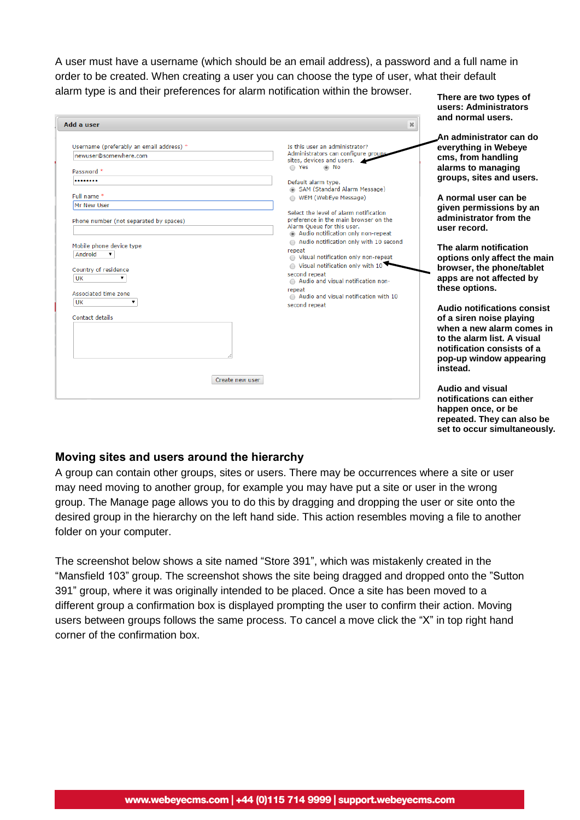A user must have a username (which should be an email address), a password and a full name in order to be created. When creating a user you can choose the type of user, what their default alarm type is and their preferences for alarm notification within the browser. **There are two types of**

**users: Administrators**

| Add a user                                                                                                                                                                                                                                                                                    | $\mathcal{H}$                                                                                                                                                                                                                                                                                                                                                                                                                                                                                                                                                                                                                           | and normal users.                                                                                                                                                                                                                                                                                                                                                                                                                                                                                                                                      |
|-----------------------------------------------------------------------------------------------------------------------------------------------------------------------------------------------------------------------------------------------------------------------------------------------|-----------------------------------------------------------------------------------------------------------------------------------------------------------------------------------------------------------------------------------------------------------------------------------------------------------------------------------------------------------------------------------------------------------------------------------------------------------------------------------------------------------------------------------------------------------------------------------------------------------------------------------------|--------------------------------------------------------------------------------------------------------------------------------------------------------------------------------------------------------------------------------------------------------------------------------------------------------------------------------------------------------------------------------------------------------------------------------------------------------------------------------------------------------------------------------------------------------|
| Username (preferably an email address) *<br>newuser@somewhere.com<br>Password *<br><br>Full name *<br>Mr New User<br>Phone number (not separated by spaces)<br>Mobile phone device type<br>Android<br>Country of residence<br>UK<br><b>Associated time zone</b><br>UK<br>v<br>Contact details | Is this user an administrator?<br>Administrators can configure group<br>sites, devices and users.<br>$\bigcirc$ Yes<br>⊛ No<br>Default alarm type.<br>SAM (Standard Alarm Message)<br>WEM (WebEye Message)<br>Select the level of alarm notification<br>preference in the main browser on the<br>Alarm Oueue for this user.<br>a Audio notification only non-repeat<br>Audio notification only with 10 second<br>repeat<br>◯ Visual notification only non-repeat<br>$\circ$ Visual notification only with 10<br>second repeat<br>Audio and visual notification non-<br>repeat<br>Audio and visual notification with 10<br>second repeat | .An administrator can do<br>everything in Webeye<br>cms, from handling<br>alarms to managing<br>groups, sites and users.<br>A normal user can be<br>given permissions by an<br>administrator from the<br>user record.<br>The alarm notification<br>options only affect the main<br>browser, the phone/tablet<br>apps are not affected by<br>these options.<br>Audio notifications consist<br>of a siren noise playing<br>when a new alarm comes in<br>to the alarm list. A visual<br>notification consists of a<br>pop-up window appearing<br>instead. |
| Create new user                                                                                                                                                                                                                                                                               |                                                                                                                                                                                                                                                                                                                                                                                                                                                                                                                                                                                                                                         | Audio and visual<br>notifications can either<br>happen once, or be<br>repeated. They can also be<br>set to occur simultaneously.                                                                                                                                                                                                                                                                                                                                                                                                                       |

#### **Moving sites and users around the hierarchy**

A group can contain other groups, sites or users. There may be occurrences where a site or user may need moving to another group, for example you may have put a site or user in the wrong group. The Manage page allows you to do this by dragging and dropping the user or site onto the desired group in the hierarchy on the left hand side. This action resembles moving a file to another folder on your computer.

The screenshot below shows a site named "Store 391", which was mistakenly created in the "Mansfield 103" group. The screenshot shows the site being dragged and dropped onto the "Sutton 391" group, where it was originally intended to be placed. Once a site has been moved to a different group a confirmation box is displayed prompting the user to confirm their action. Moving users between groups follows the same process. To cancel a move click the "X" in top right hand corner of the confirmation box.